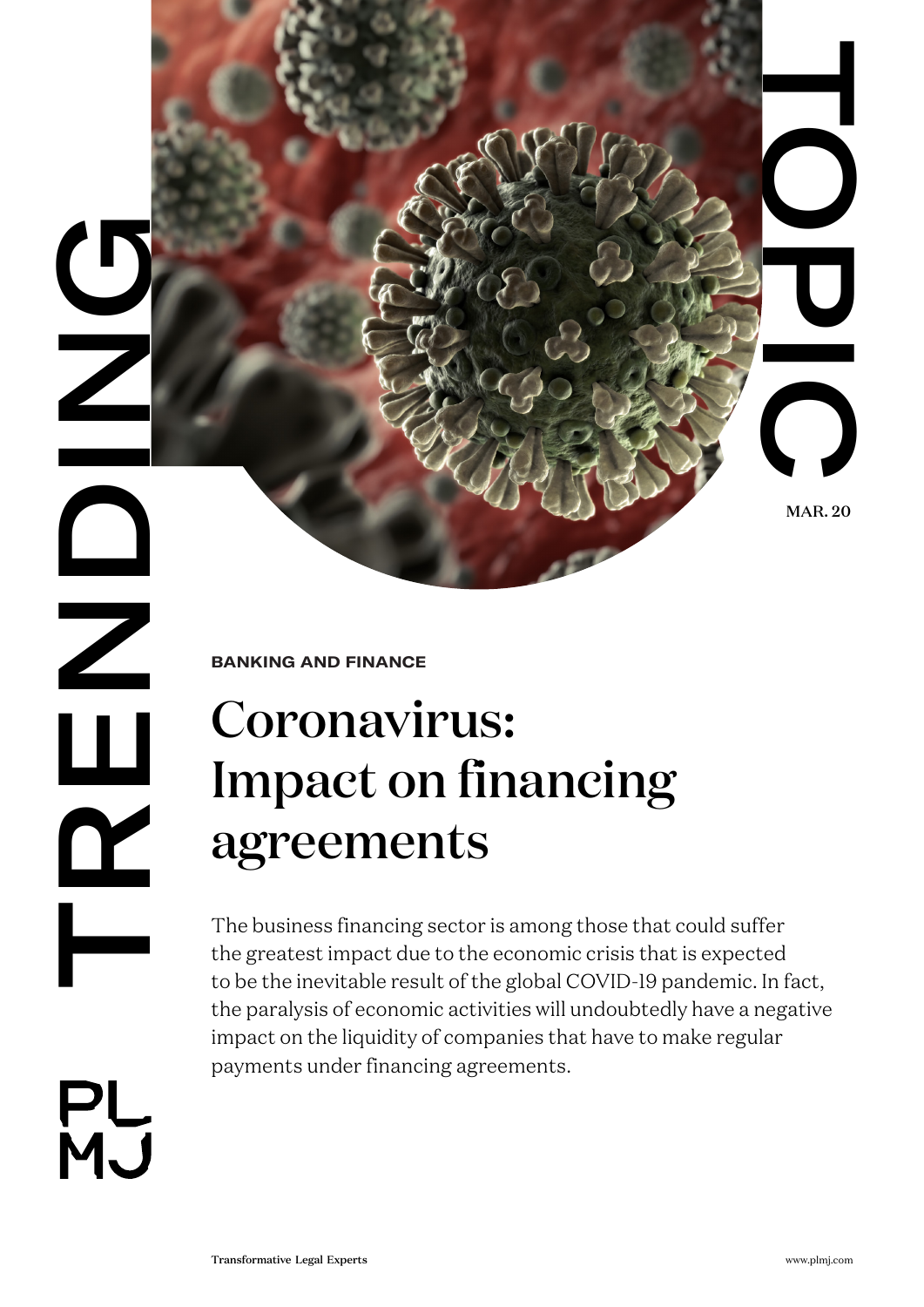**DRENDING**  $\sum_{i=1}^{n}$  $\overline{\phantom{a}}$ 

**BANKING AND FINANCE**

# Coronavirus: Impact on financing agreements

Transformation Controller Controller Controller Controller Controller Controller Controller Controller Controller Controller Controller Controller Controller Controller Controller Controller Controller Controller Controlle The business financing sector is among those that could suffer the greatest impact due to the economic crisis that is expected to be the inevitable result of the global COVID-19 pandemic. In fact, the paralysis of economic activities will undoubtedly have a negative impact on the liquidity of companies that have to make regular payments under financing agreements.

PL<br>MJ

MAR. 20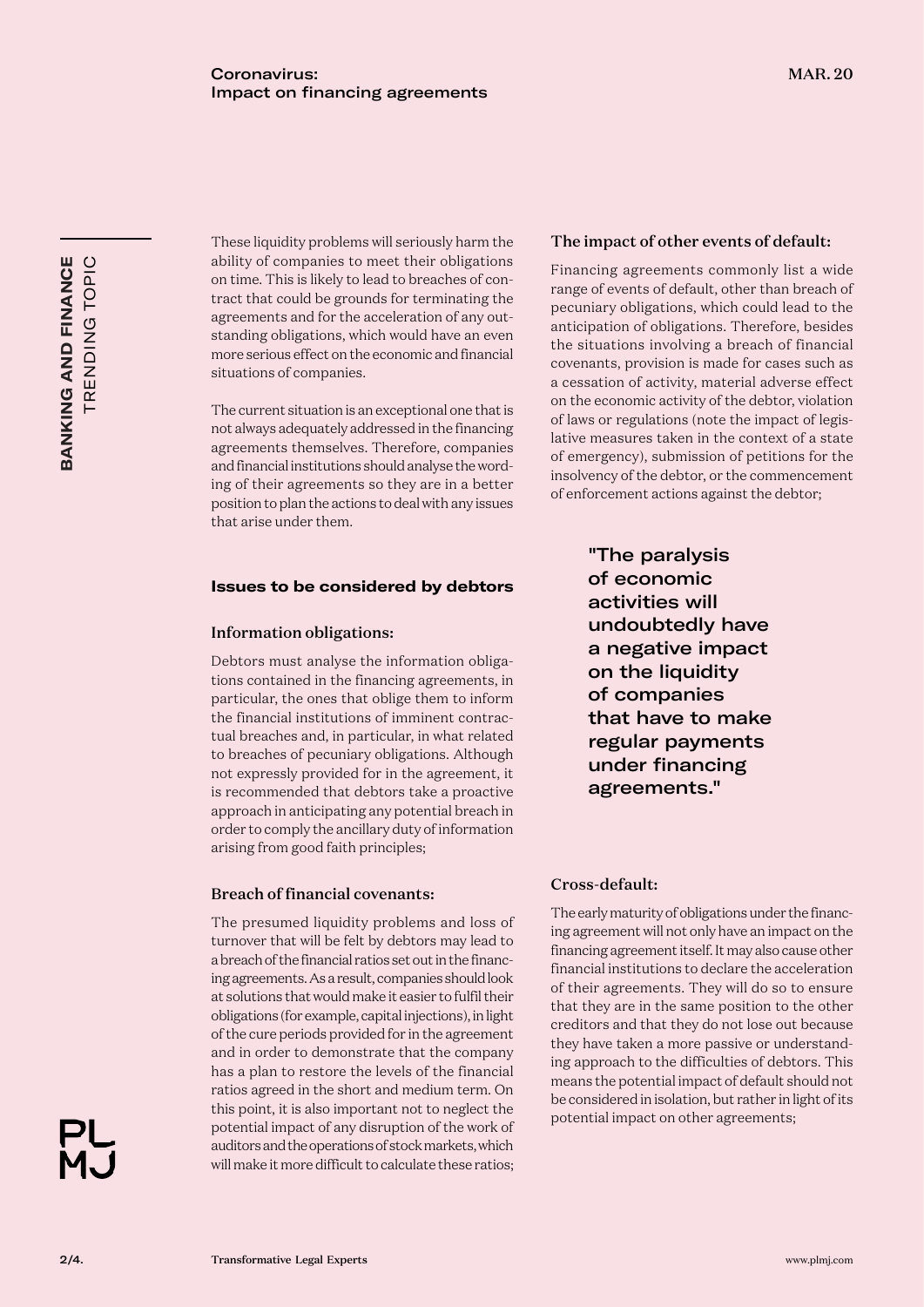These liquidity problems will seriously harm the ability of companies to meet their obligations on time. This is likely to lead to breaches of con tract that could be grounds for terminating the agreements and for the acceleration of any out standing obligations, which would have an even more serious effect on the economic and financial situations of companies.

The current situation is an exceptional one that is not always adequately addressed in the financing agreements themselves. Therefore, companies and financial institutions should analyse the word ing of their agreements so they are in a better position to plan the actions to deal with any issues that arise under them.

# **Issues to be considered by debtors**

#### Information obligations:

Debtors must analyse the information obliga tions contained in the financing agreements, in particular, the ones that oblige them to inform the financial institutions of imminent contrac tual breaches and, in particular, in what related to breaches of pecuniary obligations. Although not expressly provided for in the agreement, it is recommended that debtors take a proactive approach in anticipating any potential breach in order to comply the ancillary duty of information arising from good faith principles;

# Breach of financial covenants:

The presumed liquidity problems and loss of turnover that will be felt by debtors may lead to a breach of the financial ratios set out in the financ ing agreements. As a result, companies should look at solutions that would make it easier to fulfil their obligations (for example, capital injections), in light of the cure periods provided for in the agreement and in order to demonstrate that the company has a plan to restore the levels of the financial ratios agreed in the short and medium term. On this point, it is also important not to neglect the potential impact of any disruption of the work of auditors and the operations of stock markets, which will make it more difficult to calculate these ratios;

# The impact of other events of default:

Financing agreements commonly list a wide range of events of default, other than breach of pecuniary obligations, which could lead to the anticipation of obligations. Therefore, besides the situations involving a breach of financial covenants, provision is made for cases such as a cessation of activity, material adverse effect on the economic activity of the debtor, violation of laws or regulations (note the impact of legis lative measures taken in the context of a state of emergency), submission of petitions for the insolvency of the debtor, or the commencement of enforcement actions against the debtor;

> "The paralysis of economic activities will undoubtedly have a negative impact on the liquidity of companies that have to make regular payments under financing agreements."

# Cross-default:

The early maturity of obligations under the financ ing agreement will not only have an impact on the financing agreement itself. It may also cause other financial institutions to declare the acceleration of their agreements. They will do so to ensure that they are in the same position to the other creditors and that they do not lose out because they have taken a more passive or understand ing approach to the difficulties of debtors. This means the potential impact of default should not be considered in isolation, but rather in light of its potential impact on other agreements;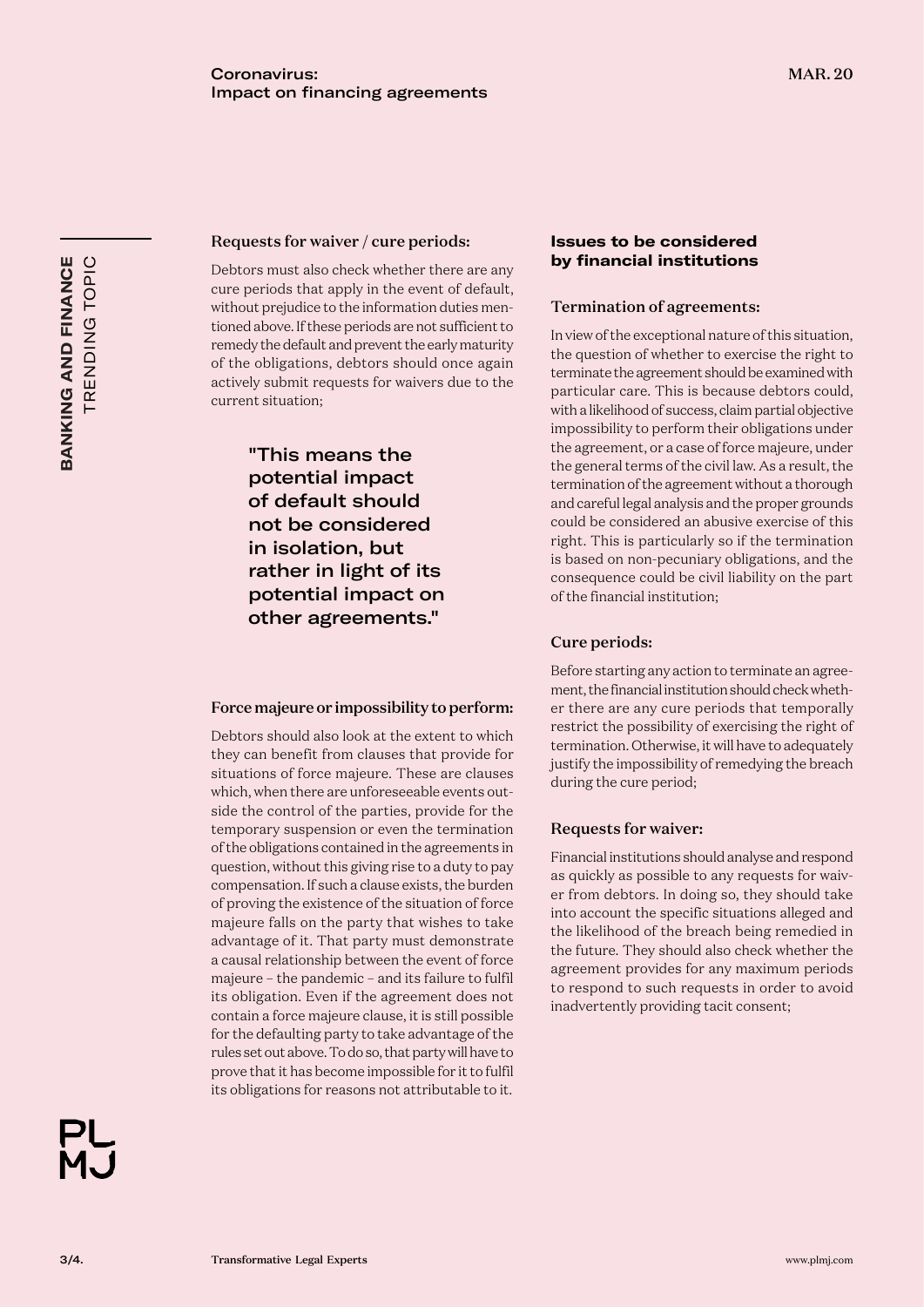# Requests for waiver / cure periods:

Debtors must also check whether there are any cure periods that apply in the event of default, without prejudice to the information duties mentioned above. If these periods are not sufficient to remedy the default and prevent the early maturity of the obligations, debtors should once again actively submit requests for waivers due to the current situation;

> "This means the potential impact of default should not be considered in isolation, but rather in light of its potential impact on other agreements."

#### Force majeure or impossibility to perform:

Debtors should also look at the extent to which they can benefit from clauses that provide for situations of force majeure. These are clauses which, when there are unforeseeable events outside the control of the parties, provide for the temporary suspension or even the termination of the obligations contained in the agreements in question, without this giving rise to a duty to pay compensation. If such a clause exists, the burden of proving the existence of the situation of force majeure falls on the party that wishes to take advantage of it. That party must demonstrate a causal relationship between the event of force majeure – the pandemic – and its failure to fulfil its obligation. Even if the agreement does not contain a force majeure clause, it is still possible for the defaulting party to take advantage of the rules set out above. To do so, that party will have to prove that it has become impossible for it to fulfil its obligations for reasons not attributable to it.



# **Issues to be considered by financial institutions**

# Termination of agreements:

In view of the exceptional nature of this situation, the question of whether to exercise the right to terminate the agreement should be examined with particular care. This is because debtors could, with a likelihood of success, claim partial objective impossibility to perform their obligations under the agreement, or a case of force majeure, under the general terms of the civil law. As a result, the termination of the agreement without a thorough and careful legal analysis and the proper grounds could be considered an abusive exercise of this right. This is particularly so if the termination is based on non-pecuniary obligations, and the consequence could be civil liability on the part of the financial institution;

# Cure periods:

Before starting any action to terminate an agreement, the financial institution should check whether there are any cure periods that temporally restrict the possibility of exercising the right of termination. Otherwise, it will have to adequately justify the impossibility of remedying the breach during the cure period;

# Requests for waiver:

Financial institutions should analyse and respond as quickly as possible to any requests for waiver from debtors. In doing so, they should take into account the specific situations alleged and the likelihood of the breach being remedied in the future. They should also check whether the agreement provides for any maximum periods to respond to such requests in order to avoid inadvertently providing tacit consent;